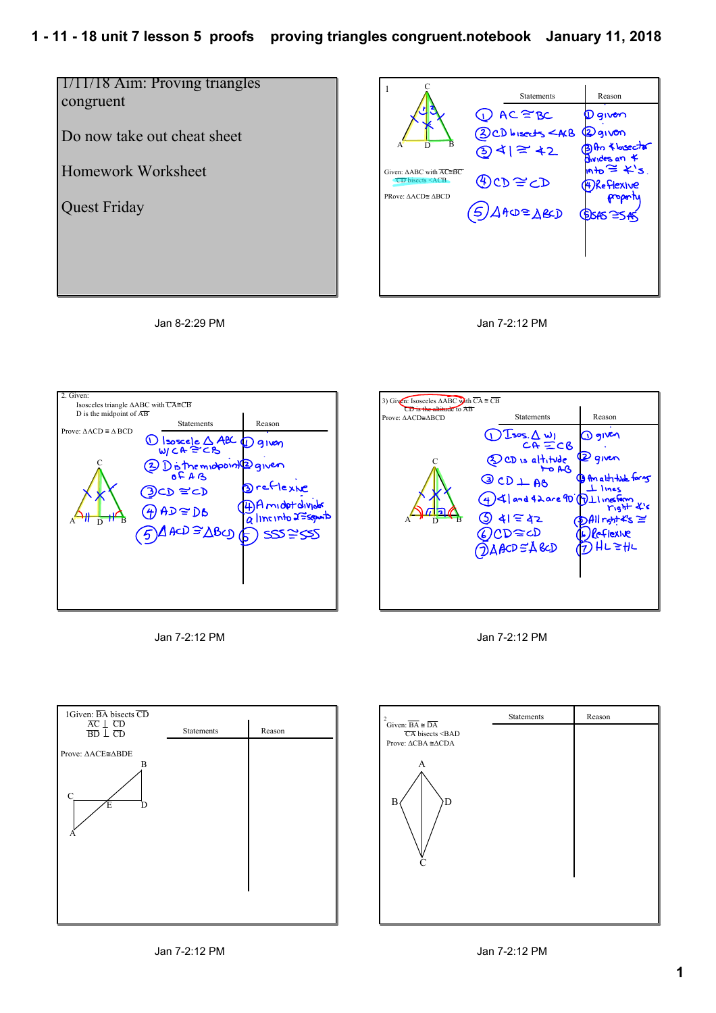## **1 11 18 unit 7 lesson 5 proofs proving triangles congruent.notebook January 11, 2018**

















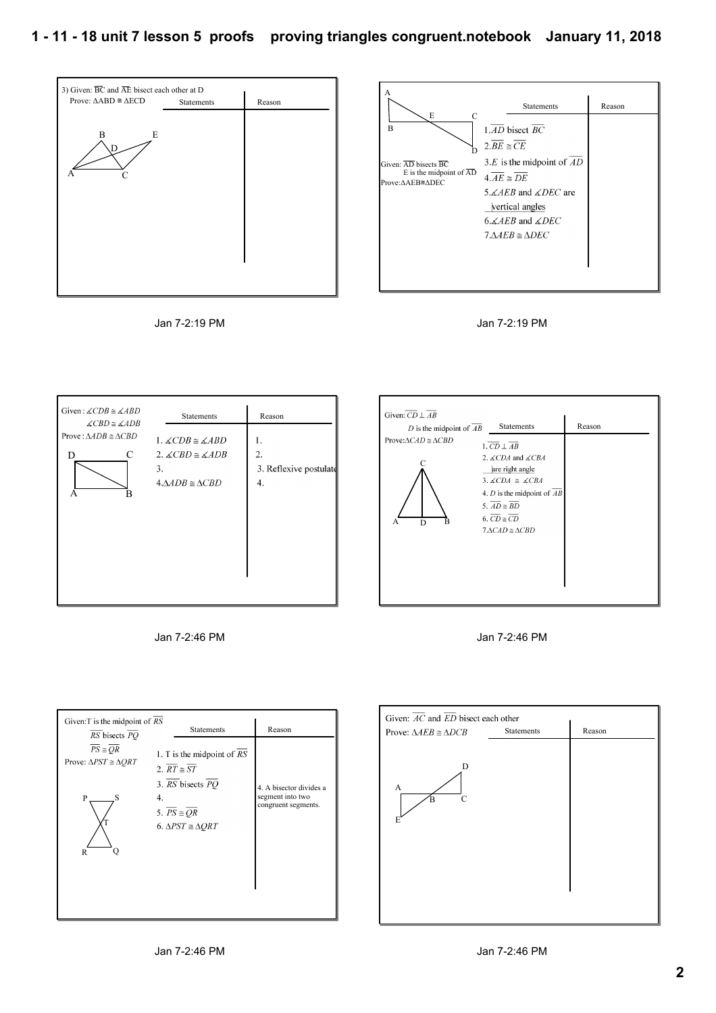



Jan 7-2:19 PM





| Given: $\overline{CD} \perp \overline{AB}$<br>D is the midpoint of $\overline{AB}$ | Statements                                                                                                                                                                                                                                                                                                                    | Reason |
|------------------------------------------------------------------------------------|-------------------------------------------------------------------------------------------------------------------------------------------------------------------------------------------------------------------------------------------------------------------------------------------------------------------------------|--------|
| Prove: $\triangle CAD \cong \triangle CBD$<br>A<br>D                               | $1.\overline{CD} \perp \overline{AB}$<br>2. $\angle$ <i>CDA</i> and $\angle$ <i>CBA</i><br>are right angle<br>3. $\angle CDA \cong \angle CBA$<br>4. <i>D</i> is the midpoint of $\overline{AB}$<br>5. $\overline{AD} \cong \overline{BD}$<br>6. $\overline{CD} \cong \overline{CD}$<br>$7 \triangle CAD \cong \triangle CBD$ |        |

Jan 7-2:46 PM



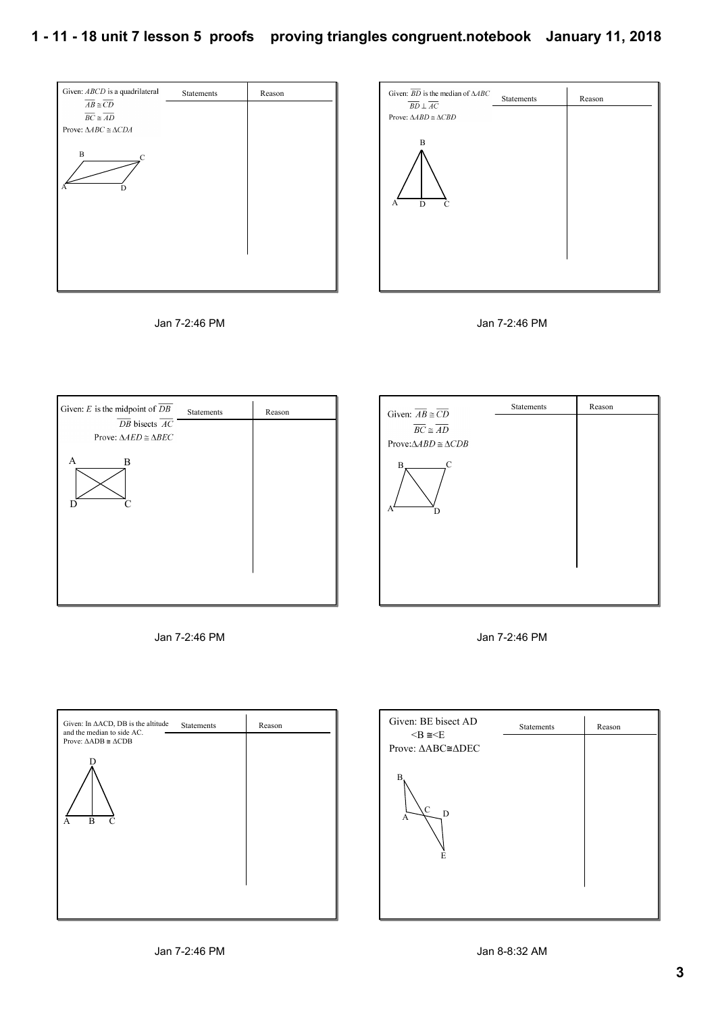















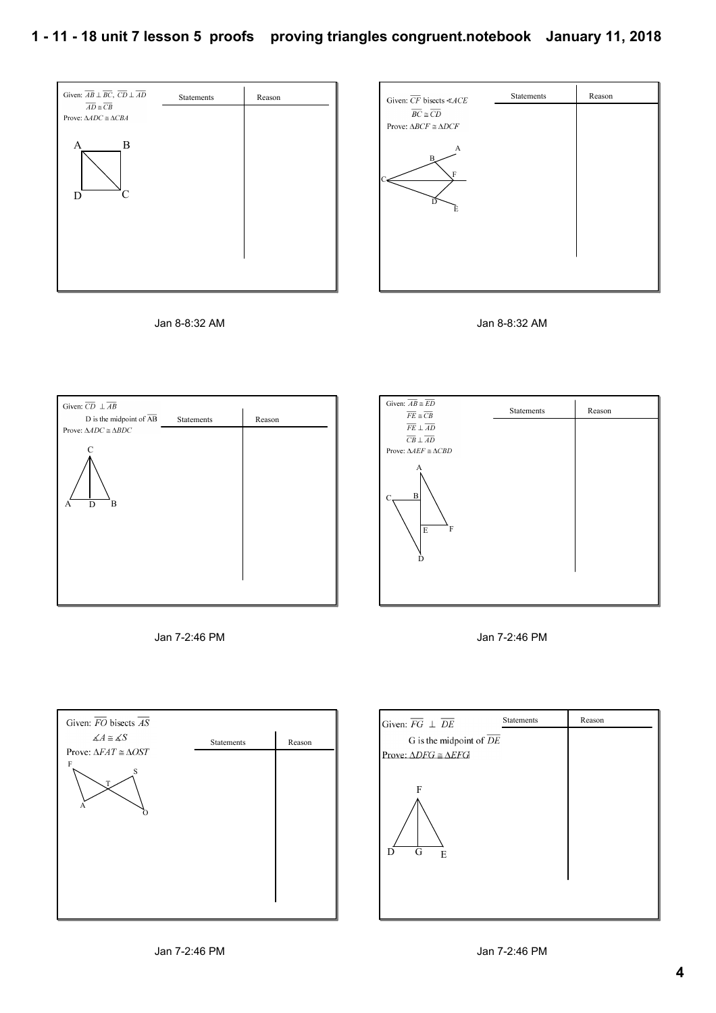

















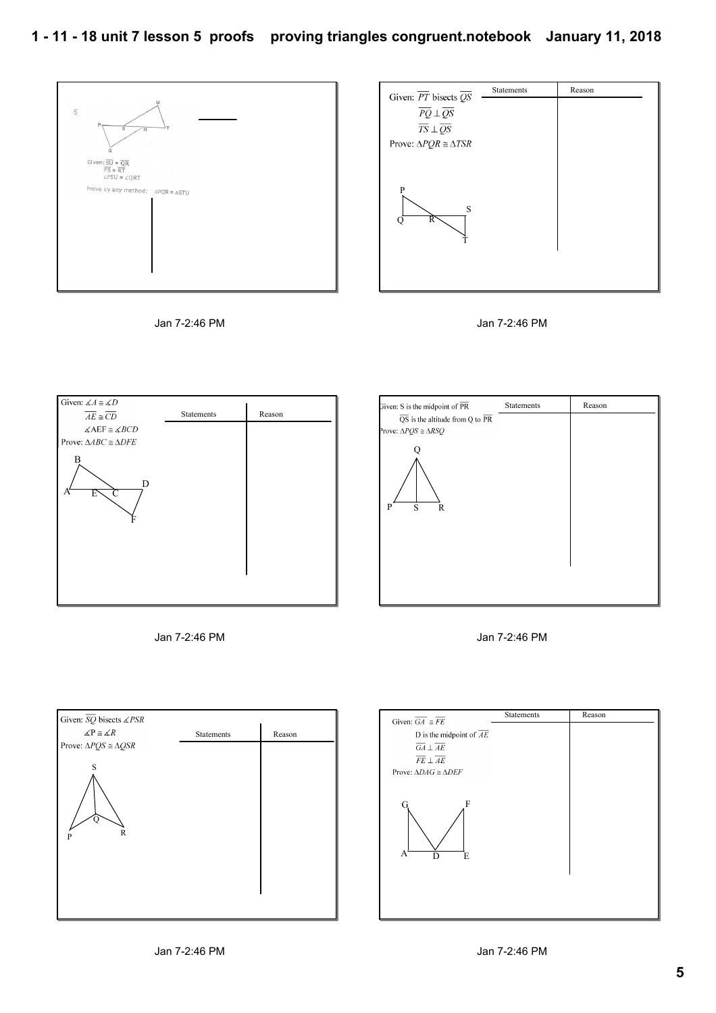









| Given: S is the midpoint of $\overline{\text{PR}}$        | Statements | Reason |
|-----------------------------------------------------------|------------|--------|
| $\overline{QS}$ is the altitude from Q to $\overline{PR}$ |            |        |
| Prove: $\triangle PQS \cong \triangle RSQ$                |            |        |
|                                                           |            |        |
| S<br>P<br>R                                               |            |        |
|                                                           |            |        |
|                                                           |            |        |
|                                                           |            |        |





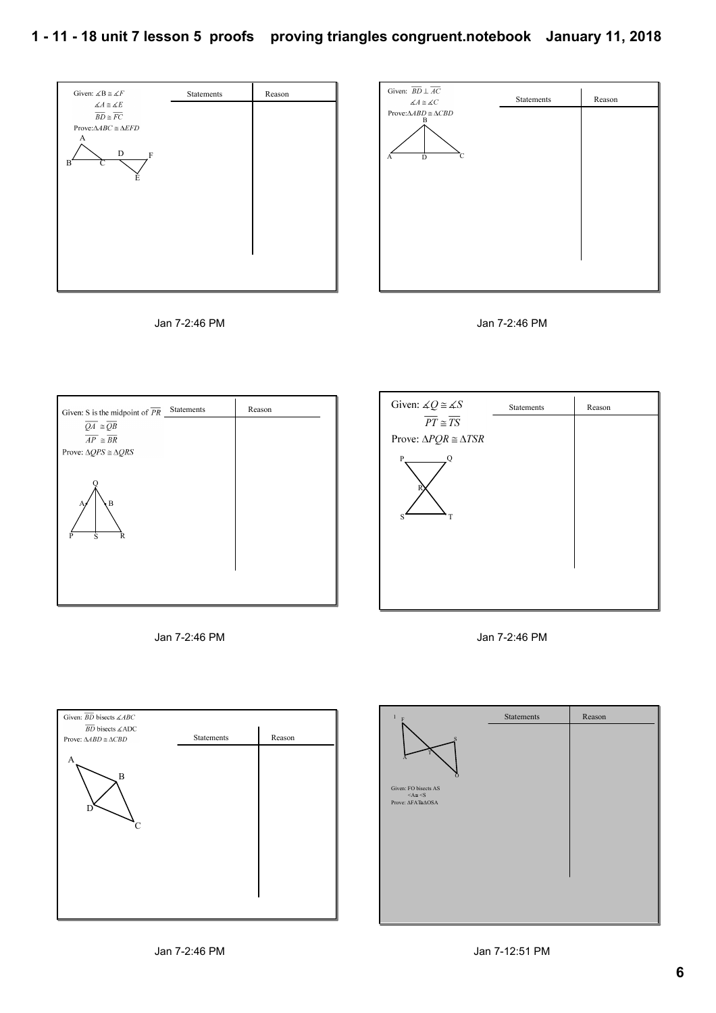## **1 11 18 unit 7 lesson 5 proofs proving triangles congruent.notebook January 11, 2018**











Jan 7-2:46 PM

A

D

 $\searrow$  B

Given:  $\overline{BD}$  bisects  $\angle ABC$  $\overline{BD}$  bisects  $\measuredangle ADC$ Prove:  $\triangle ABD \cong \triangle CBD$ 

C

Statements Reason

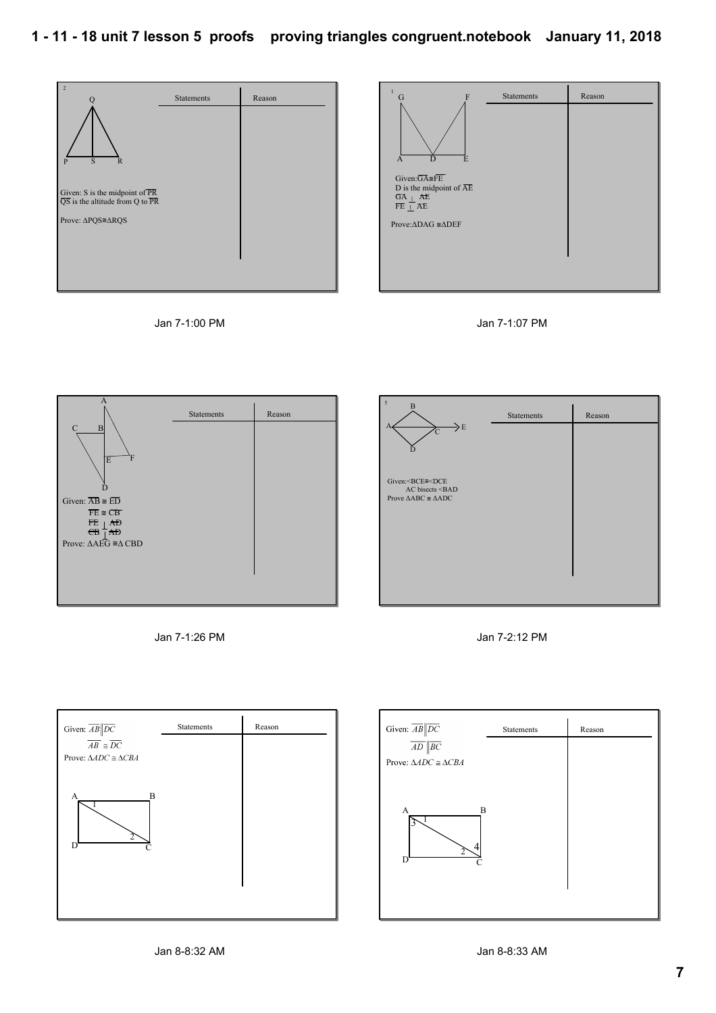5